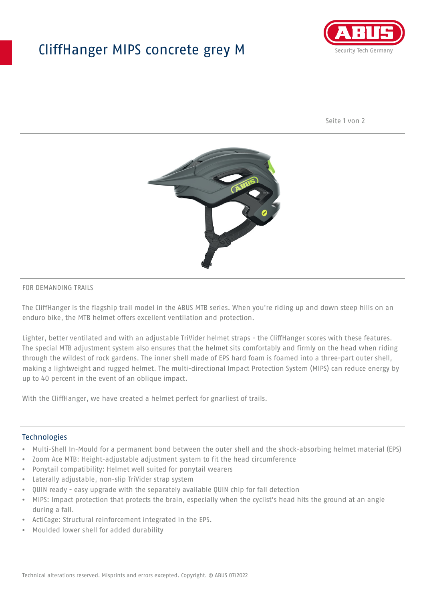## CliffHanger MIPS concrete grey M



Seite 1 von 2



### FOR DEMANDING TRAILS

The CliffHanger is the flagship trail model in the ABUS MTB series. When you're riding up and down steep hills on an enduro bike, the MTB helmet offers excellent ventilation and protection.

Lighter, better ventilated and with an adjustable TriVider helmet straps - the CliffHanger scores with these features. The special MTB adjustment system also ensures that the helmet sits comfortably and firmly on the head when riding through the wildest of rock gardens. The inner shell made of EPS hard foam is foamed into a three-part outer shell, making a lightweight and rugged helmet. The multi-directional Impact Protection System (MIPS) can reduce energy by up to 40 percent in the event of an oblique impact.

With the CliffHanger, we have created a helmet perfect for gnarliest of trails.

#### Technologies

- Multi-Shell In-Mould for a permanent bond between the outer shell and the shock-absorbing helmet material (EPS)
- Zoom Ace MTB: Height-adjustable adjustment system to fit the head circumference
- Ponytail compatibility: Helmet well suited for ponytail wearers
- Laterally adjustable, non-slip TriVider strap system
- QUIN ready easy upgrade with the separately available QUIN chip for fall detection
- MIPS: Impact protection that protects the brain, especially when the cyclist's head hits the ground at an angle during a fall.
- ActiCage: Structural reinforcement integrated in the EPS.
- Moulded lower shell for added durability